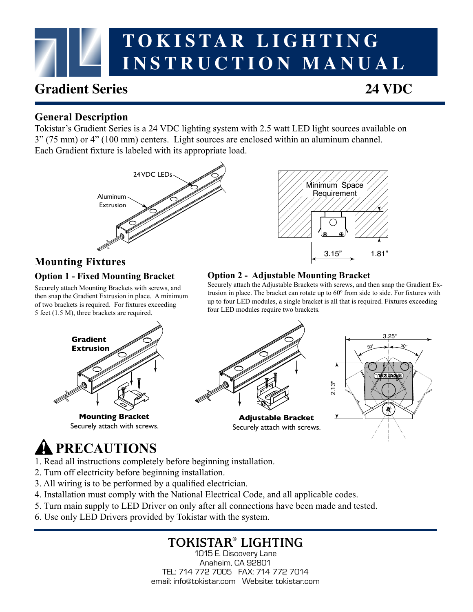# **TOKISTAR LIGHTING INSTRUCTION MANUAL**

# **Gradient Series 24 VDC**

#### **General Description**

Tokistar's Gradient Series is a 24 VDC lighting system with 2.5 watt LED light sources available on 3" (75 mm) or 4" (100 mm) centers. Light sources are enclosed within an aluminum channel. Each Gradient fixture is labeled with its appropriate load.





## **Mounting Fixtures**

#### **Option 1 - Fixed Mounting Bracket**

Securely attach Mounting Brackets with screws, and then snap the Gradient Extrusion in place. A minimum of two brackets is required. For fixtures exceeding 5 feet (1.5 M), three brackets are required.



**Mounting Bracket** Securely attach with screws.

#### **Option 2 - Adjustable Mounting Bracket**

Securely attach the Adjustable Brackets with screws, and then snap the Gradient Extrusion in place. The bracket can rotate up to 60º from side to side. For fixtures with up to four LED modules, a single bracket is all that is required. Fixtures exceeding four LED modules require two brackets.



# **PRECAUTIONS**

- 1. Read all instructions completely before beginning installation.
- 2. Turn off electricity before beginning installation.
- 3. All wiring is to be performed by a qualified electrician.
- 4. Installation must comply with the National Electrical Code, and all applicable codes.
- 5. Turn main supply to LED Driver on only after all connections have been made and tested.
- 6. Use only LED Drivers provided by Tokistar with the system.

## **TOKISTAR® LIGHTING**

1015 E. Discovery Lane Anaheim, CA 92801 TEL: 714 772 7005 FAX: 714 772 7014 email: info@tokistar.com Website: tokistar.com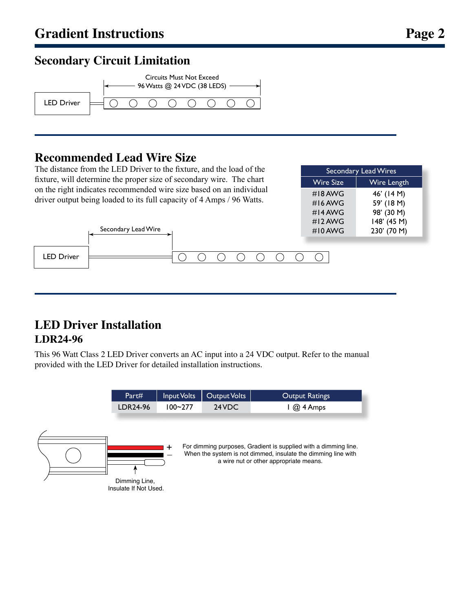### **Secondary Circuit Limitation**



### **Recommended Lead Wire Size**

Secondary Lead Wire

The distance from the LED Driver to the fixture, and the load of the fixture, will determine the proper size of secondary wire. The chart on the right indicates recommended wire size based on an individual driver output being loaded to its full capacity of 4 Amps / 96 Watts.

| Secondary Lead Wires |                    |  |  |
|----------------------|--------------------|--|--|
| <b>Wire Size</b>     | <b>Wire Length</b> |  |  |
| $\#$ I 8 AWG         | 46' (14 M)         |  |  |
| $#16$ AWG            | 59' (18 M)         |  |  |
| #14 AWG              | 98' (30 M)         |  |  |
| #12 AWG              | 148' (45 M)        |  |  |
| $#10$ AWG            | 230' (70 M)        |  |  |
|                      |                    |  |  |



## **LED Driver Installation LDR24-96**

This 96 Watt Class 2 LED Driver converts an AC input into a 24 VDC output. Refer to the manual provided with the LED Driver for detailed installation instructions.

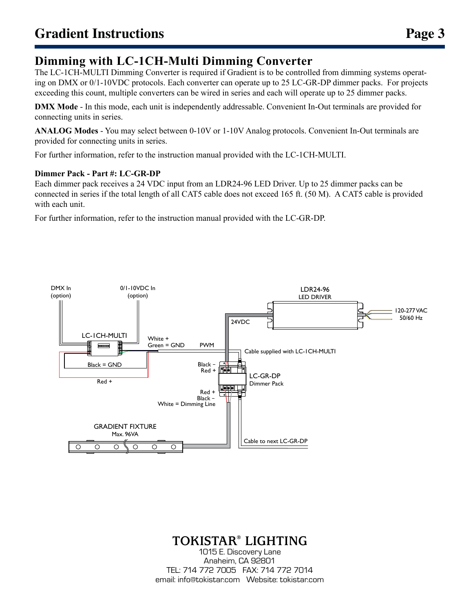## **Dimming with LC-1CH-Multi Dimming Converter**

The LC-1CH-MULTI Dimming Converter is required if Gradient is to be controlled from dimming systems operating on DMX or 0/1-10VDC protocols. Each converter can operate up to 25 LC-GR-DP dimmer packs. For projects exceeding this count, multiple converters can be wired in series and each will operate up to 25 dimmer packs.

**DMX Mode** - In this mode, each unit is independently addressable. Convenient In-Out terminals are provided for connecting units in series.

**ANALOG Modes** - You may select between 0-10V or 1-10V Analog protocols. Convenient In-Out terminals are provided for connecting units in series.

For further information, refer to the instruction manual provided with the LC-1CH-MULTI.

#### **Dimmer Pack - Part #: LC-GR-DP**

Each dimmer pack receives a 24 VDC input from an LDR24-96 LED Driver. Up to 25 dimmer packs can be connected in series if the total length of all CAT5 cable does not exceed 165 ft. (50 M). A CAT5 cable is provided with each unit.

For further information, refer to the instruction manual provided with the LC-GR-DP.



## **TOKISTAR® LIGHTING**

1015 E. Discovery Lane Anaheim, CA 92801 TEL: 714 772 7005 FAX: 714 772 7014 email: info@tokistar.com Website: tokistar.com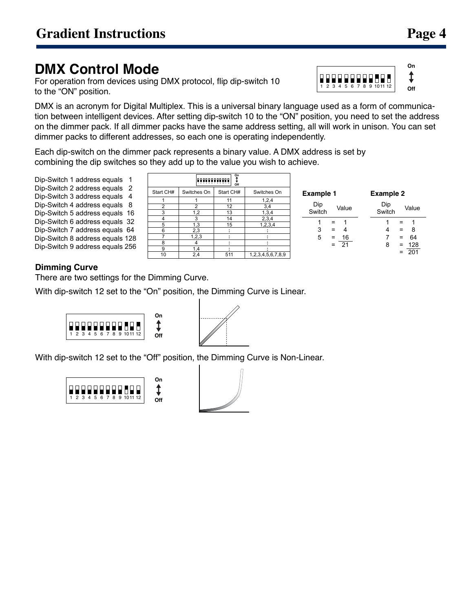# **DMX Control Mode**

For operation from devices using DMX protocol, flip dip-switch 10 to the "ON" position.

DMX is an acronym for Digital Multiplex. This is a universal binary language used as a form of communication between intelligent devices. After setting dip-switch 10 to the "ON" position, you need to set the address on the dimmer pack. If all dimmer packs have the same address setting, all will work in unison. You can set dimmer packs to different addresses, so each one is operating independently.

Each dip-switch on the dimmer pack represents a binary value. A DMX address is set by combining the dip switches so they add up to the value you wish to achieve.

Dip-Switch 1 address equals 1 Dip-Switch 2 address equals 2 Dip-Switch 3 address equals 4 Dip-Switch 4 address equals 8 Dip-Switch 5 address equals 16 Dip-Switch 6 address equals 32 Dip-Switch 7 address equals 64 Dip-Switch 8 address equals 128 Dip-Switch 9 address equals 256

| Qn<br>0000000000<br>Off |             |           |                   |  |
|-------------------------|-------------|-----------|-------------------|--|
| Start CH#               | Switches On | Start CH# | Switches On       |  |
|                         |             | 11        | 1,2,4             |  |
| $\overline{2}$          | 2           | 12        | 3,4               |  |
| 3                       | 1,2         | 13        | 1,3,4             |  |
| 4                       | 3           | 14        | 2,3,4             |  |
| 5                       | 1,3         | 15        | 1,2,3,4           |  |
| 6                       | 2,3         |           |                   |  |
|                         | 1,2,3       |           |                   |  |
| 8                       |             |           |                   |  |
| 9                       | 1,4         |           |                   |  |
| 10                      | 2,4         | 511       | 1,2,3,4,5,6,7,8,9 |  |

| <b>Example 1</b>     | <b>Example 2</b>                       |  |  |
|----------------------|----------------------------------------|--|--|
| Dip                  | Dip                                    |  |  |
| Value                | Value                                  |  |  |
| Switch               | Switch                                 |  |  |
| 1                    | 1                                      |  |  |
| 1                    | 1                                      |  |  |
| $=$                  | $=$                                    |  |  |
| 3                    | 8                                      |  |  |
| 4                    | 4                                      |  |  |
| $\equiv$             | $\equiv$                               |  |  |
| 16<br>5<br>21<br>$=$ | 64<br>7<br>$\equiv$<br>128<br>8<br>$=$ |  |  |

#### **Dimming Curve**

There are two settings for the Dimming Curve.

With dip-switch 12 set to the "On" position, the Dimming Curve is Linear.





With dip-switch 12 set to the "Off" position, the Dimming Curve is Non-Linear.





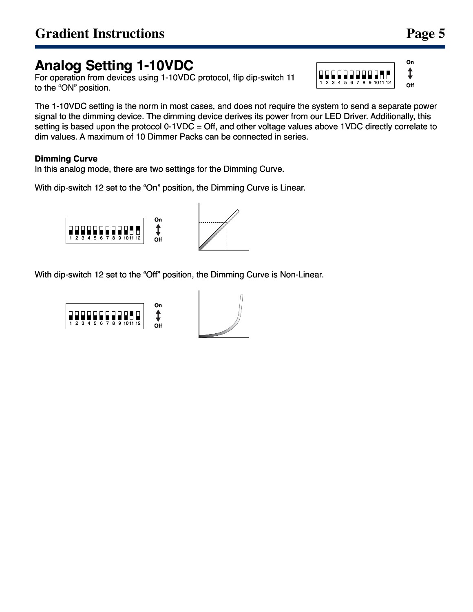# **Analog Setting 1-10VDC**

For operation from devices using 1-10VDC protocol, flip dip-switch 11 to the "ON" position.

The 1-10VDC setting is the norm in most cases, and does not require the system to send a separate power signal to the dimming device. The dimming device derives its power from our LED Driver. Additionally, this setting is based upon the protocol 0-1VDC = Off, and other voltage values above 1VDC directly correlate to dim values. A maximum of 10 Dimmer Packs can be connected in series.

#### **Dimming Curve**

In this analog mode, there are two settings for the Dimming Curve.

With dip-switch 12 set to the "On" position, the Dimming Curve is Linear.



With dip-switch 12 set to the "Off" position, the Dimming Curve is Non-Linear.